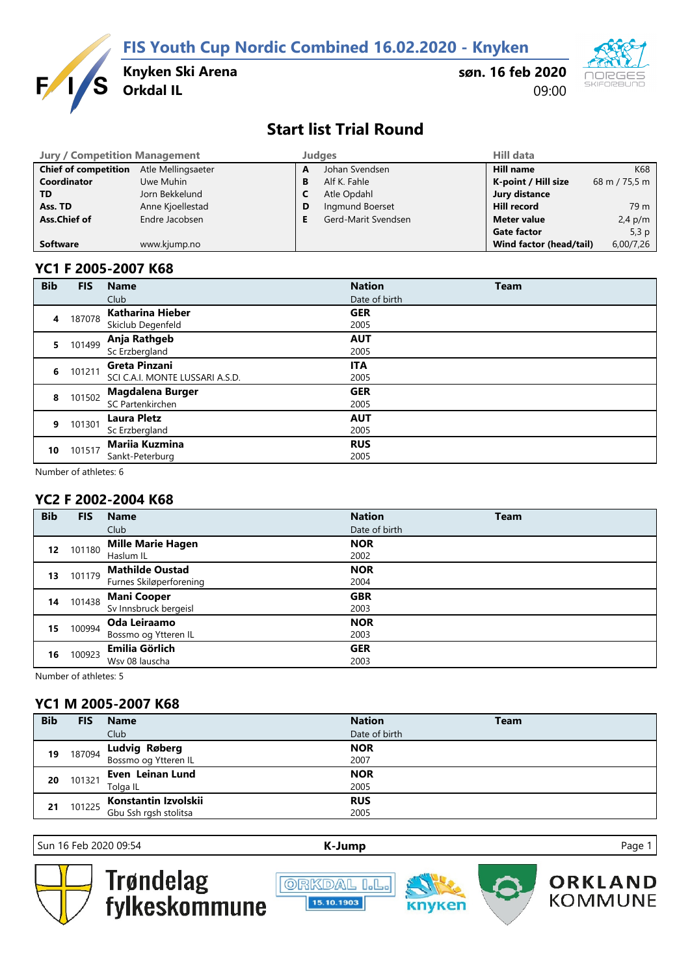**FIS Youth Cup Nordic Combined 16.02.2020 - Knyken**



**Knyken Ski Arena**

**søn. 16 feb 2020** 09:00



# **Start list Trial Round**

| <b>Jury / Competition Management</b> |                    |   | <b>Judges</b>       | <b>Hill data</b>        |               |
|--------------------------------------|--------------------|---|---------------------|-------------------------|---------------|
| <b>Chief of competition</b>          | Atle Mellingsaeter | A | Johan Svendsen      | <b>Hill name</b>        | K68           |
| Coordinator                          | Uwe Muhin          | в | Alf K. Fahle        | K-point / Hill size     | 68 m / 75,5 m |
| TD                                   | Jorn Bekkelund     | L | Atle Opdahl         | Jury distance           |               |
| Ass. TD                              | Anne Kjoellestad   | D | Ingmund Boerset     | <b>Hill record</b>      | 79 m          |
| Ass.Chief of                         | Endre Jacobsen     |   | Gerd-Marit Svendsen | <b>Meter value</b>      | $2,4$ p/m     |
|                                      |                    |   |                     | <b>Gate factor</b>      | 5,3 $p$       |
| <b>Software</b>                      | www.kjump.no       |   |                     | Wind factor (head/tail) | 6,00/7,26     |

### **YC1 F 2005-2007 K68**

| <b>Bib</b> | <b>FIS</b> | <b>Name</b>                                      | <b>Nation</b>      | <b>Team</b> |
|------------|------------|--------------------------------------------------|--------------------|-------------|
|            |            | Club                                             | Date of birth      |             |
| 4          | 187078     | <b>Katharina Hieber</b>                          | <b>GER</b>         |             |
| 5.         | 101499     | Skiclub Degenfeld<br>Anja Rathgeb                | 2005<br><b>AUT</b> |             |
|            |            | Sc Erzbergland                                   | 2005               |             |
| 6          | 101211     | Greta Pinzani<br>SCI C.A.I. MONTE LUSSARI A.S.D. | <b>ITA</b><br>2005 |             |
| 8          | 101502     | <b>Magdalena Burger</b><br>SC Partenkirchen      | <b>GER</b><br>2005 |             |
| 9          | 101301     | <b>Laura Pletz</b><br>Sc Erzbergland             | <b>AUT</b><br>2005 |             |
| 10         | 101517     | <b>Mariia Kuzmina</b><br>Sankt-Peterburg         | <b>RUS</b><br>2005 |             |

Number of athletes: 6

## **YC2 F 2002-2004 K68**

| <b>Bib</b> | <b>FIS</b> | <b>Name</b>              | <b>Nation</b> | <b>Team</b> |
|------------|------------|--------------------------|---------------|-------------|
|            |            | Club                     | Date of birth |             |
| 12         | 101180     | <b>Mille Marie Hagen</b> | <b>NOR</b>    |             |
|            |            | Haslum IL                | 2002          |             |
| 13         | 101179     | <b>Mathilde Oustad</b>   | <b>NOR</b>    |             |
|            |            | Furnes Skiløperforening  | 2004          |             |
| 14         | 101438     | <b>Mani Cooper</b>       | <b>GBR</b>    |             |
|            |            | Sv Innsbruck bergeisl    | 2003          |             |
| 15         | 100994     | Oda Leiraamo             | <b>NOR</b>    |             |
|            |            | Bossmo og Ytteren IL     | 2003          |             |
| 16         | 100923     | Emilia Görlich           | <b>GER</b>    |             |
|            |            | Wsv 08 lauscha           | 2003          |             |

Number of athletes: 5

## **YC1 M 2005-2007 K68**

| <b>Bib</b> | <b>FIS</b> | <b>Name</b>                                  | <b>Nation</b> | <b>Team</b> |
|------------|------------|----------------------------------------------|---------------|-------------|
|            |            | Club                                         | Date of birth |             |
|            | 187094     |                                              | <b>NOR</b>    |             |
| 19         |            | <b>Ludvig Røberg</b><br>Bossmo og Ytteren IL | 2007          |             |
| 20         | 101321     | Even Leinan Lund                             | <b>NOR</b>    |             |
|            |            | Tolga IL                                     | 2005          |             |
| 21         | 101225     | Konstantin Izvolskii                         | <b>RUS</b>    |             |
|            |            | Gbu Ssh rgsh stolitsa                        | 2005          |             |

Sun 16 Feb 2020 09:54 **[K-J](http://kjump.no/)ump** Page 1



Trøndelag<br>fylkeskommune





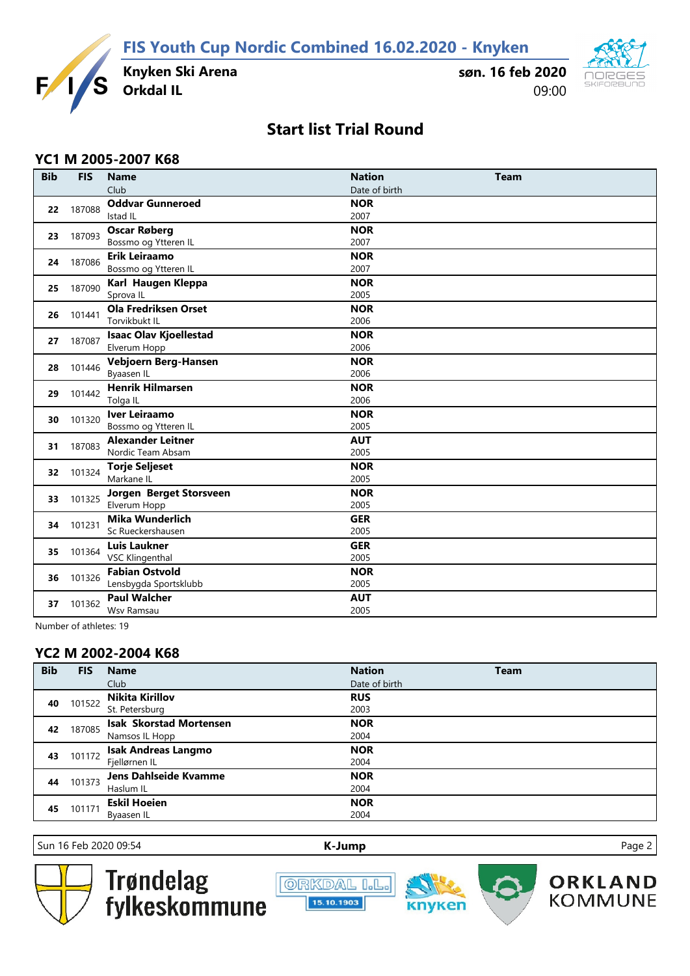**FIS Youth Cup Nordic Combined 16.02.2020 - Knyken**



**Knyken Ski Arena**

**søn. 16 feb 2020** 09:00



# **Start list Trial Round**

### **YC1 M 2005-2007 K68**

| <b>Bib</b> | <b>FIS</b> | <b>Name</b>                   | <b>Nation</b> | <b>Team</b> |
|------------|------------|-------------------------------|---------------|-------------|
|            |            | Club                          | Date of birth |             |
| 22         | 187088     | <b>Oddvar Gunneroed</b>       | <b>NOR</b>    |             |
|            |            | <b>Istad IL</b>               | 2007          |             |
| 23         | 187093     | <b>Oscar Røberg</b>           | <b>NOR</b>    |             |
|            |            | Bossmo og Ytteren IL          | 2007          |             |
| 24         | 187086     | Erik Leiraamo                 | <b>NOR</b>    |             |
|            |            | Bossmo og Ytteren IL          | 2007          |             |
| 25         | 187090     | Karl Haugen Kleppa            | <b>NOR</b>    |             |
|            |            | Sprova IL                     | 2005          |             |
| 26         | 101441     | <b>Ola Fredriksen Orset</b>   | <b>NOR</b>    |             |
|            |            | Torvikbukt IL                 | 2006          |             |
| 27         | 187087     | <b>Isaac Olav Kjoellestad</b> | <b>NOR</b>    |             |
|            |            | Elverum Hopp                  | 2006          |             |
| 28         | 101446     | Vebjoern Berg-Hansen          | <b>NOR</b>    |             |
|            |            | Byaasen IL                    | 2006          |             |
| 29         | 101442     | <b>Henrik Hilmarsen</b>       | <b>NOR</b>    |             |
|            |            | Tolga IL                      | 2006          |             |
| 30         | 101320     | <b>Iver Leiraamo</b>          | <b>NOR</b>    |             |
|            |            | Bossmo og Ytteren IL          | 2005          |             |
| 31         | 187083     | <b>Alexander Leitner</b>      | <b>AUT</b>    |             |
|            |            | Nordic Team Absam             | 2005          |             |
| 32         | 101324     | <b>Torje Seljeset</b>         | <b>NOR</b>    |             |
|            |            | Markane IL                    | 2005          |             |
| 33         | 101325     | Jorgen Berget Storsveen       | <b>NOR</b>    |             |
|            |            | Elverum Hopp                  | 2005          |             |
| 34         | 101231     | <b>Mika Wunderlich</b>        | <b>GER</b>    |             |
|            |            | Sc Rueckershausen             | 2005          |             |
| 35         | 101364     | <b>Luis Laukner</b>           | <b>GER</b>    |             |
|            |            | <b>VSC Klingenthal</b>        | 2005          |             |
| 36         | 101326     | <b>Fabian Ostvold</b>         | <b>NOR</b>    |             |
|            |            | Lensbygda Sportsklubb         | 2005          |             |
|            | 101362     | <b>Paul Walcher</b>           | <b>AUT</b>    |             |
| 37         |            | Wsv Ramsau                    | 2005          |             |

Number of athletes: 19

## **YC2 M 2002-2004 K68**

| <b>Bib</b> | <b>FIS</b> | <b>Name</b>                    | <b>Nation</b> | <b>Team</b> |
|------------|------------|--------------------------------|---------------|-------------|
|            |            | Club                           | Date of birth |             |
| 40         | 101522     | <b>Nikita Kirillov</b>         | <b>RUS</b>    |             |
|            |            | St. Petersburg                 | 2003          |             |
| 42         | 187085     | <b>Isak Skorstad Mortensen</b> | <b>NOR</b>    |             |
|            |            | Namsos IL Hopp                 | 2004          |             |
| 43         | 101172     | <b>Isak Andreas Langmo</b>     | <b>NOR</b>    |             |
|            |            | Fjellørnen IL                  | 2004          |             |
| 44         | 101373     | Jens Dahlseide Kvamme          | <b>NOR</b>    |             |
|            |            | Haslum IL                      | 2004          |             |
| 45         | 101171     | <b>Eskil Hoeien</b>            | <b>NOR</b>    |             |
|            |            | Byaasen IL                     | 2004          |             |

Sun 16 Feb 2020 09:54 **[K-J](http://kjump.no/)ump** Page 2



Trøndelag<br>fylkeskommune